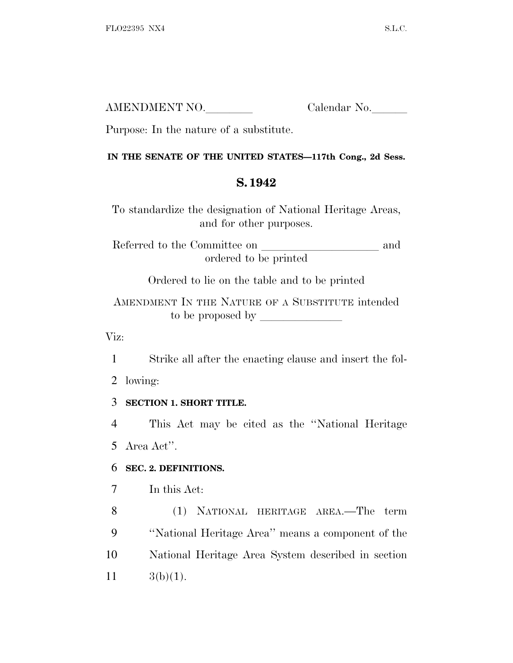| AMENDMENT NO. | Calendar No. |
|---------------|--------------|
|               |              |

Purpose: In the nature of a substitute.

#### **IN THE SENATE OF THE UNITED STATES—117th Cong., 2d Sess.**

## **S. 1942**

To standardize the designation of National Heritage Areas, and for other purposes.

Referred to the Committee on and ordered to be printed

Ordered to lie on the table and to be printed

AMENDMENT IN THE NATURE OF A SUBSTITUTE intended to be proposed by

Viz:

1 Strike all after the enacting clause and insert the fol-

2 lowing:

## 3 **SECTION 1. SHORT TITLE.**

4 This Act may be cited as the ''National Heritage 5 Area Act''.

## 6 **SEC. 2. DEFINITIONS.**

7 In this Act:

 (1) NATIONAL HERITAGE AREA.—The term ''National Heritage Area'' means a component of the National Heritage Area System described in section 11  $3(b)(1)$ .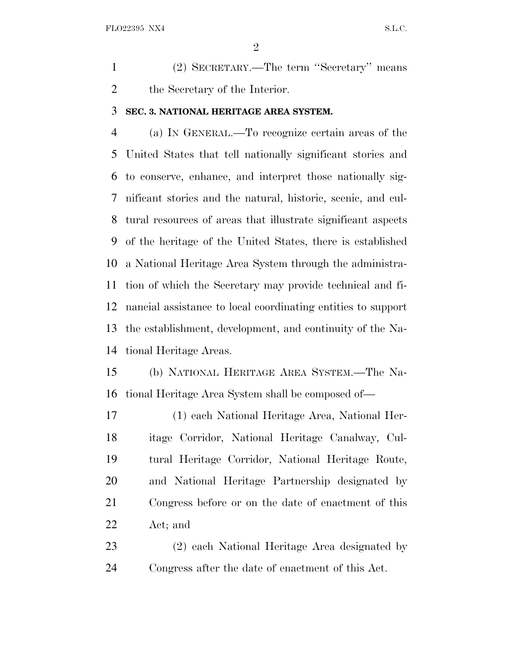(2) SECRETARY.—The term ''Secretary'' means the Secretary of the Interior.

#### **SEC. 3. NATIONAL HERITAGE AREA SYSTEM.**

 (a) I<sup>N</sup> GENERAL.—To recognize certain areas of the United States that tell nationally significant stories and to conserve, enhance, and interpret those nationally sig- nificant stories and the natural, historic, scenic, and cul- tural resources of areas that illustrate significant aspects of the heritage of the United States, there is established a National Heritage Area System through the administra- tion of which the Secretary may provide technical and fi- nancial assistance to local coordinating entities to support the establishment, development, and continuity of the Na-tional Heritage Areas.

 (b) NATIONAL HERITAGE AREA SYSTEM.—The Na-tional Heritage Area System shall be composed of—

 (1) each National Heritage Area, National Her- itage Corridor, National Heritage Canalway, Cul- tural Heritage Corridor, National Heritage Route, and National Heritage Partnership designated by Congress before or on the date of enactment of this Act; and

 (2) each National Heritage Area designated by Congress after the date of enactment of this Act.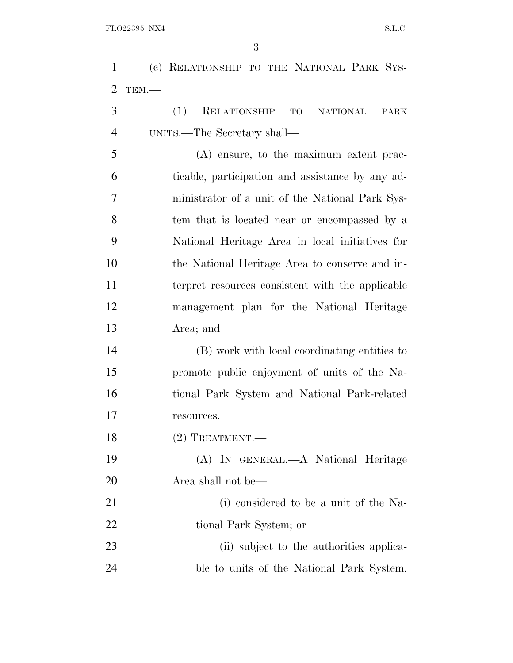(c) RELATIONSHIP TO THE NATIONAL PARK SYS-TEM.—

 (1) RELATIONSHIP TO NATIONAL PARK UNITS.—The Secretary shall—

 (A) ensure, to the maximum extent prac- ticable, participation and assistance by any ad- ministrator of a unit of the National Park Sys- tem that is located near or encompassed by a National Heritage Area in local initiatives for the National Heritage Area to conserve and in- terpret resources consistent with the applicable management plan for the National Heritage Area; and

 (B) work with local coordinating entities to promote public enjoyment of units of the Na- tional Park System and National Park-related resources.

18 (2) TREATMENT.

 (A) IN GENERAL.—A National Heritage Area shall not be—

21 (i) considered to be a unit of the Na-tional Park System; or

23 (ii) subject to the authorities applica-ble to units of the National Park System.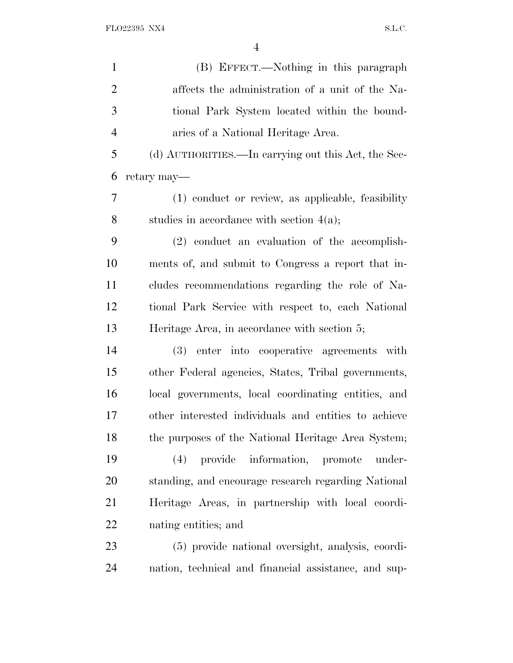| $\mathbf{1}$   | (B) EFFECT.—Nothing in this paragraph                |
|----------------|------------------------------------------------------|
| $\overline{2}$ | affects the administration of a unit of the Na-      |
| 3              | tional Park System located within the bound-         |
| $\overline{4}$ | aries of a National Heritage Area.                   |
| 5              | (d) AUTHORITIES.—In carrying out this Act, the Sec-  |
| 6              | retary may—                                          |
| 7              | (1) conduct or review, as applicable, feasibility    |
| 8              | studies in accordance with section $4(a)$ ;          |
| 9              | (2) conduct an evaluation of the accomplish-         |
| 10             | ments of, and submit to Congress a report that in-   |
| 11             | cludes recommendations regarding the role of Na-     |
| 12             | tional Park Service with respect to, each National   |
| 13             | Heritage Area, in accordance with section 5;         |
| 14             | (3) enter into cooperative agreements with           |
| 15             | other Federal agencies, States, Tribal governments,  |
| 16             | local governments, local coordinating entities, and  |
| 17             | other interested individuals and entities to achieve |
| 18             | the purposes of the National Heritage Area System;   |
| 19             | provide information, promote<br>(4)<br>under-        |
| 20             | standing, and encourage research regarding National  |
| 21             | Heritage Areas, in partnership with local coordi-    |
| 22             | nating entities; and                                 |
| 23             | (5) provide national oversight, analysis, coordi-    |
| 24             | nation, technical and financial assistance, and sup- |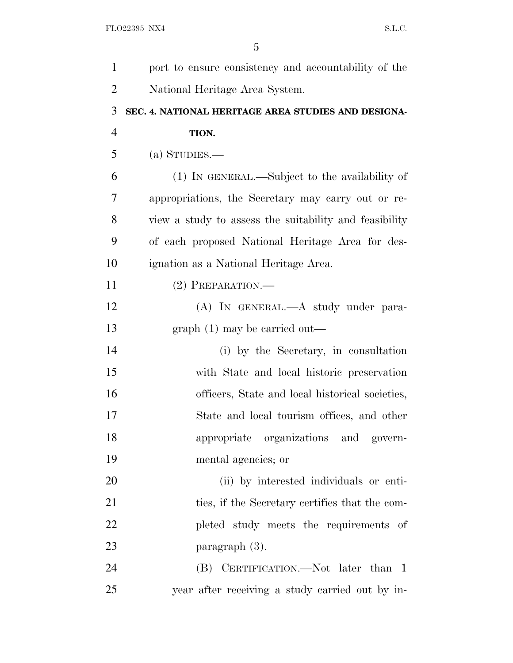| 1              | port to ensure consistency and accountability of the   |
|----------------|--------------------------------------------------------|
| $\overline{2}$ | National Heritage Area System.                         |
| 3              | SEC. 4. NATIONAL HERITAGE AREA STUDIES AND DESIGNA-    |
| $\overline{4}$ | TION.                                                  |
| 5              | (a) STUDIES.—                                          |
| 6              | (1) IN GENERAL.—Subject to the availability of         |
| 7              | appropriations, the Secretary may carry out or re-     |
| 8              | view a study to assess the suitability and feasibility |
| 9              | of each proposed National Heritage Area for des-       |
| 10             | ignation as a National Heritage Area.                  |
| 11             | $(2)$ PREPARATION.—                                    |
| 12             | (A) IN GENERAL.—A study under para-                    |
| 13             | $graph(1)$ may be carried out—                         |
| 14             | (i) by the Secretary, in consultation                  |
| 15             | with State and local historic preservation             |
| 16             | officers, State and local historical societies,        |
| 17             | State and local tourism offices, and other             |
| 18             | appropriate organizations and govern-                  |
| 19             | mental agencies; or                                    |
| 20             | (ii) by interested individuals or enti-                |
| 21             | ties, if the Secretary certifies that the com-         |
| 22             | pleted study meets the requirements of                 |
| 23             | paragraph $(3)$ .                                      |
| 24             | (B) CERTIFICATION.—Not later than 1                    |
| 25             | year after receiving a study carried out by in-        |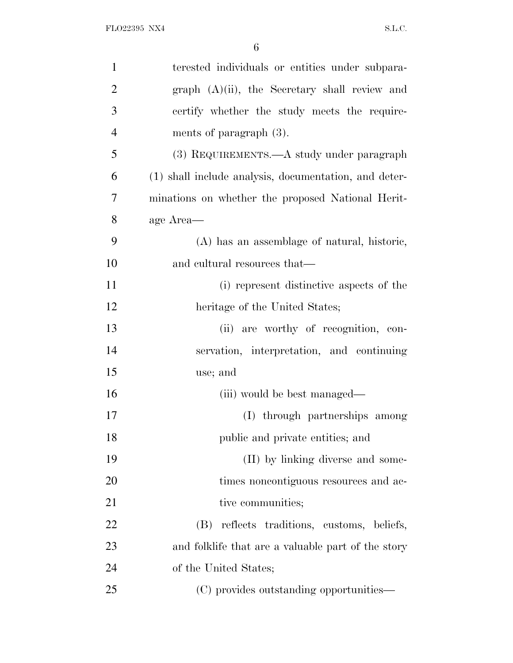| $\mathbf{1}$   | terested individuals or entities under subpara-       |
|----------------|-------------------------------------------------------|
| $\overline{2}$ | graph $(A)(ii)$ , the Secretary shall review and      |
| 3              | certify whether the study meets the require-          |
| $\overline{4}$ | ments of paragraph $(3)$ .                            |
| 5              | (3) REQUIREMENTS.—A study under paragraph             |
| 6              | (1) shall include analysis, documentation, and deter- |
| 7              | minations on whether the proposed National Herit-     |
| 8              | age Area—                                             |
| 9              | (A) has an assemblage of natural, historic,           |
| 10             | and cultural resources that—                          |
| 11             | (i) represent distinctive aspects of the              |
| 12             | heritage of the United States;                        |
| 13             | (ii) are worthy of recognition, con-                  |
| 14             | servation, interpretation, and continuing             |
| 15             | use; and                                              |
| 16             | (iii) would be best managed—                          |
| 17             | (I) through partnerships among                        |
| 18             | public and private entities; and                      |
| 19             | (II) by linking diverse and some-                     |
| 20             | times noncontiguous resources and ac-                 |
| 21             | tive communities;                                     |
| 22             | reflects traditions, customs, beliefs,<br>(B)         |
| 23             | and folklife that are a valuable part of the story    |
| 24             | of the United States;                                 |
| 25             | (C) provides outstanding opportunities—               |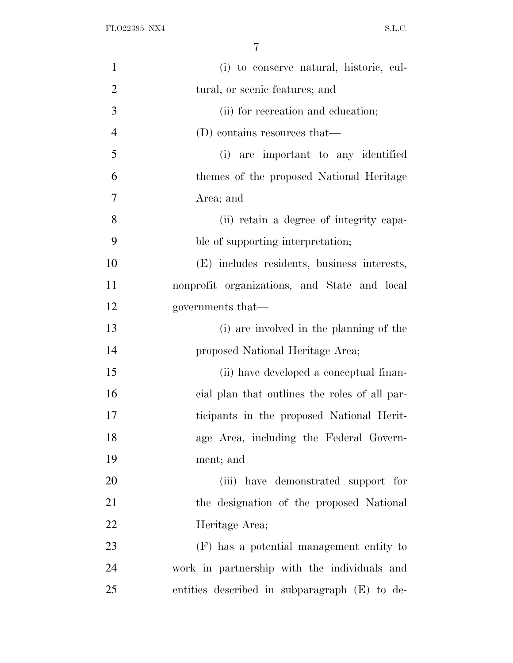| $\mathbf{1}$   | (i) to conserve natural, historic, cul-       |
|----------------|-----------------------------------------------|
| $\overline{2}$ | tural, or scenic features; and                |
| 3              | (ii) for recreation and education;            |
| $\overline{4}$ | (D) contains resources that—                  |
| 5              | (i) are important to any identified           |
| 6              | themes of the proposed National Heritage      |
| $\overline{7}$ | Area; and                                     |
| 8              | (ii) retain a degree of integrity capa-       |
| 9              | ble of supporting interpretation;             |
| 10             | (E) includes residents, business interests,   |
| 11             | nonprofit organizations, and State and local  |
| 12             | governments that—                             |
| 13             | (i) are involved in the planning of the       |
| 14             | proposed National Heritage Area;              |
| 15             | (ii) have developed a conceptual finan-       |
| 16             | cial plan that outlines the roles of all par- |
| 17             | ticipants in the proposed National Herit-     |
| 18             | age Area, including the Federal Govern-       |
| 19             | ment; and                                     |
| 20             | (iii) have demonstrated support for           |
| 21             | the designation of the proposed National      |
| 22             | Heritage Area;                                |
| 23             | (F) has a potential management entity to      |
| 24             | work in partnership with the individuals and  |
| 25             | entities described in subparagraph (E) to de- |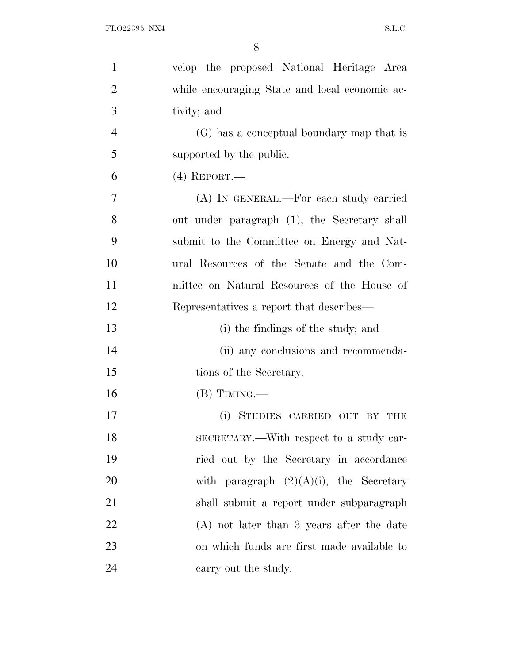| $\mathbf{1}$   | velop the proposed National Heritage Area      |
|----------------|------------------------------------------------|
| $\overline{2}$ | while encouraging State and local economic ac- |
| 3              | tivity; and                                    |
| $\overline{4}$ | (G) has a conceptual boundary map that is      |
| 5              | supported by the public.                       |
| 6              | $(4)$ REPORT.—                                 |
| $\overline{7}$ | (A) IN GENERAL.—For each study carried         |
| 8              | out under paragraph (1), the Secretary shall   |
| 9              | submit to the Committee on Energy and Nat-     |
| 10             | ural Resources of the Senate and the Com-      |
| 11             | mittee on Natural Resources of the House of    |
| 12             | Representatives a report that describes—       |
| 13             | (i) the findings of the study; and             |
| 14             | (ii) any conclusions and recommenda-           |
| 15             | tions of the Secretary.                        |
| 16             | $(B)$ TIMING.—                                 |
| 17             | (i) STUDIES CARRIED OUT BY<br>THE              |
| 18             | SECRETARY.—With respect to a study car-        |
| 19             | ried out by the Secretary in accordance        |
| 20             | with paragraph $(2)(A)(i)$ , the Secretary     |
| 21             | shall submit a report under subparagraph       |
| 22             | $(A)$ not later than 3 years after the date    |
| 23             | on which funds are first made available to     |
| 24             | carry out the study.                           |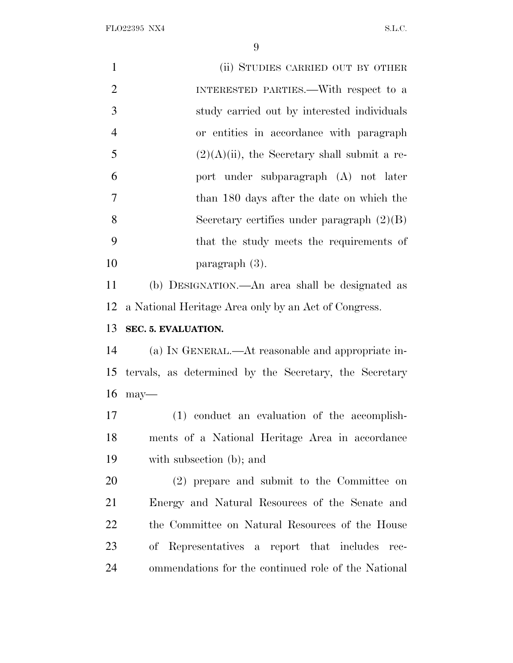| $\mathbf{1}$   | (ii) STUDIES CARRIED OUT BY OTHER                      |
|----------------|--------------------------------------------------------|
| $\overline{2}$ | INTERESTED PARTIES.—With respect to a                  |
| 3              | study carried out by interested individuals            |
| $\overline{4}$ | or entities in accordance with paragraph               |
| 5              | $(2)(A)(ii)$ , the Secretary shall submit a re-        |
| 6              | port under subparagraph (A) not later                  |
| $\overline{7}$ | than 180 days after the date on which the              |
| 8              | Secretary certifies under paragraph $(2)(B)$           |
| 9              | that the study meets the requirements of               |
| 10             | $\text{paramph } (3).$                                 |
| 11             | (b) DESIGNATION.—An area shall be designated as        |
| 12             | a National Heritage Area only by an Act of Congress.   |
| 13             | SEC. 5. EVALUATION.                                    |
| 14             | (a) IN GENERAL.—At reasonable and appropriate in-      |
| 15             | tervals, as determined by the Secretary, the Secretary |
| 16             | $may$ —                                                |
| 17             | (1) conduct an evaluation of the accomplish-           |
| 18             | ments of a National Heritage Area in accordance        |
| 19             | with subsection (b); and                               |
| 20             | (2) prepare and submit to the Committee on             |
| 21             | Energy and Natural Resources of the Senate and         |
| 22             | the Committee on Natural Resources of the House        |
| 23             | of Representatives a report that includes<br>$rec-$    |
| 24             | ommendations for the continued role of the National    |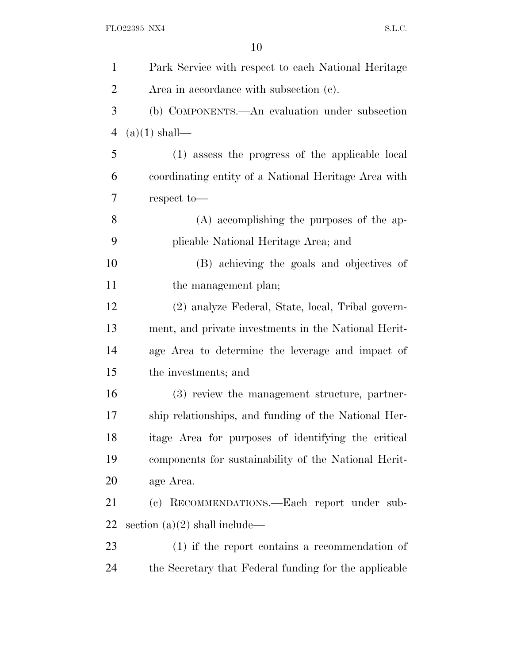| $\mathbf{1}$   | Park Service with respect to each National Heritage   |
|----------------|-------------------------------------------------------|
| $\overline{2}$ | Area in accordance with subsection (c).               |
| 3              | (b) COMPONENTS.—An evaluation under subsection        |
| $\overline{4}$ | $(a)(1)$ shall—                                       |
| 5              | (1) assess the progress of the applicable local       |
| 6              | coordinating entity of a National Heritage Area with  |
| 7              | respect to-                                           |
| 8              | $(A)$ accomplishing the purposes of the ap-           |
| 9              | plicable National Heritage Area; and                  |
| 10             | (B) achieving the goals and objectives of             |
| 11             | the management plan;                                  |
| 12             | (2) analyze Federal, State, local, Tribal govern-     |
| 13             | ment, and private investments in the National Herit-  |
| 14             | age Area to determine the leverage and impact of      |
| 15             | the investments; and                                  |
| 16             | (3) review the management structure, partner-         |
| 17             | ship relationships, and funding of the National Her-  |
| 18             | itage Area for purposes of identifying the critical   |
| 19             | components for sustainability of the National Herit-  |
| 20             | age Area.                                             |
| 21             | (c) RECOMMENDATIONS.—Each report under sub-           |
| 22             | section $(a)(2)$ shall include—                       |
| 23             | $(1)$ if the report contains a recommendation of      |
| 24             | the Secretary that Federal funding for the applicable |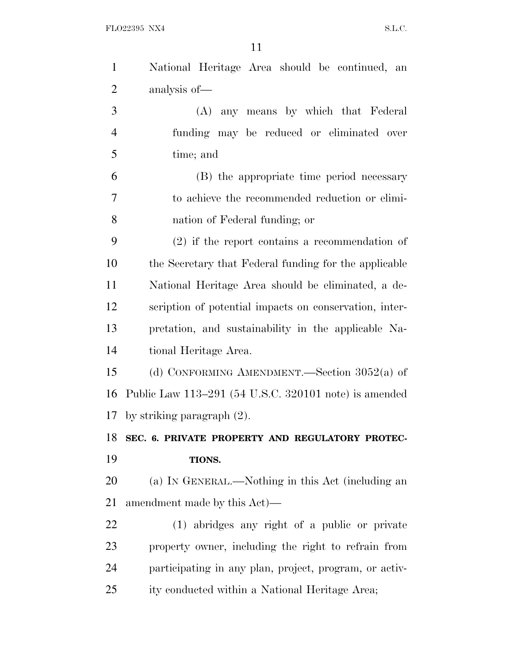| $\mathbf{1}$   | National Heritage Area should be continued, an         |
|----------------|--------------------------------------------------------|
| $\overline{2}$ | analysis of-                                           |
| 3              | (A) any means by which that Federal                    |
| $\overline{4}$ | funding may be reduced or eliminated over              |
| 5              | time; and                                              |
| 6              | (B) the appropriate time period necessary              |
| 7              | to achieve the recommended reduction or elimi-         |
| 8              | nation of Federal funding; or                          |
| 9              | $(2)$ if the report contains a recommendation of       |
| 10             | the Secretary that Federal funding for the applicable  |
| 11             | National Heritage Area should be eliminated, a de-     |
| 12             | scription of potential impacts on conservation, inter- |
| 13             | pretation, and sustainability in the applicable Na-    |
| 14             | tional Heritage Area.                                  |
| 15             | (d) CONFORMING AMENDMENT.—Section $3052(a)$ of         |
| 16             | Public Law 113-291 (54 U.S.C. 320101 note) is amended  |
| 17             | by striking paragraph $(2)$ .                          |
| 18             | SEC. 6. PRIVATE PROPERTY AND REGULATORY PROTEC-        |
| 19             | TIONS.                                                 |
| 20             | (a) IN GENERAL.—Nothing in this Act (including an      |
| 21             | amendment made by this Act)—                           |
| 22             | (1) abridges any right of a public or private          |
| 23             | property owner, including the right to refrain from    |
|                |                                                        |
| 24             | participating in any plan, project, program, or activ- |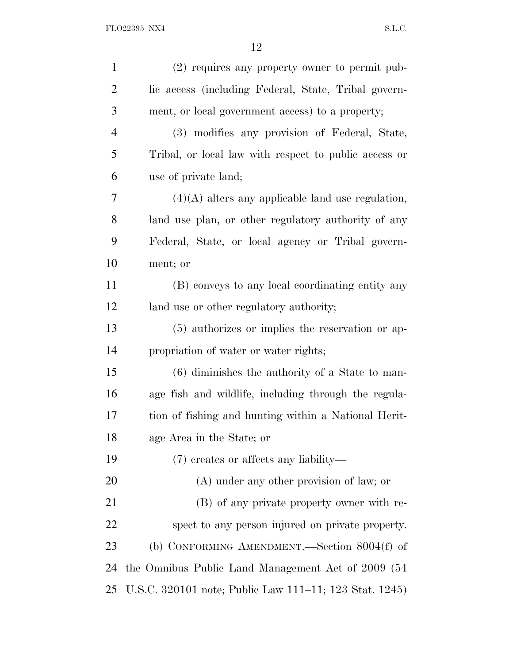| $\mathbf{1}$   | (2) requires any property owner to permit pub-         |
|----------------|--------------------------------------------------------|
| $\overline{2}$ | lic access (including Federal, State, Tribal govern-   |
| 3              | ment, or local government access) to a property;       |
| $\overline{4}$ | (3) modifies any provision of Federal, State,          |
| 5              | Tribal, or local law with respect to public access or  |
| 6              | use of private land;                                   |
| 7              | $(4)(A)$ alters any applicable land use regulation,    |
| 8              | land use plan, or other regulatory authority of any    |
| 9              | Federal, State, or local agency or Tribal govern-      |
| 10             | ment; or                                               |
| 11             | (B) conveys to any local coordinating entity any       |
| 12             | land use or other regulatory authority;                |
| 13             | (5) authorizes or implies the reservation or ap-       |
| 14             | propriation of water or water rights;                  |
| 15             | $(6)$ diminishes the authority of a State to man-      |
| 16             | age fish and wildlife, including through the regula-   |
| 17             | tion of fishing and hunting within a National Herit-   |
| 18             | age Area in the State; or                              |
| 19             | $(7)$ creates or affects any liability—                |
| 20             | $(A)$ under any other provision of law; or             |
| 21             | (B) of any private property owner with re-             |
| 22             | spect to any person injured on private property.       |
| 23             | (b) CONFORMING AMENDMENT.—Section $8004(f)$ of         |
| 24             | the Omnibus Public Land Management Act of 2009 (54     |
| 25             | U.S.C. 320101 note; Public Law 111–11; 123 Stat. 1245) |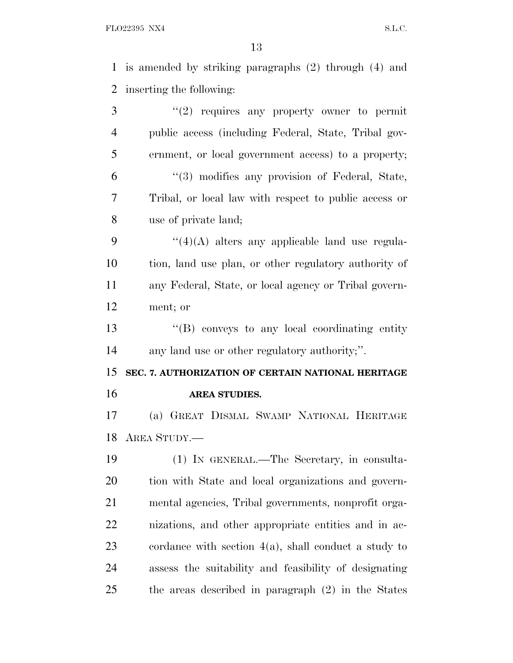is amended by striking paragraphs (2) through (4) and inserting the following: 3 "(2) requires any property owner to permit public access (including Federal, State, Tribal gov- ernment, or local government access) to a property; ''(3) modifies any provision of Federal, State, Tribal, or local law with respect to public access or use of private land;  $\frac{4}{4}(4)$  alters any applicable land use regula- tion, land use plan, or other regulatory authority of any Federal, State, or local agency or Tribal govern- ment; or ''(B) conveys to any local coordinating entity any land use or other regulatory authority;''. **SEC. 7. AUTHORIZATION OF CERTAIN NATIONAL HERITAGE AREA STUDIES.** (a) GREAT DISMAL SWAMP NATIONAL HERITAGE AREA STUDY.— (1) IN GENERAL.—The Secretary, in consulta- tion with State and local organizations and govern- mental agencies, Tribal governments, nonprofit orga- nizations, and other appropriate entities and in ac-cordance with section 4(a), shall conduct a study to

the areas described in paragraph (2) in the States

assess the suitability and feasibility of designating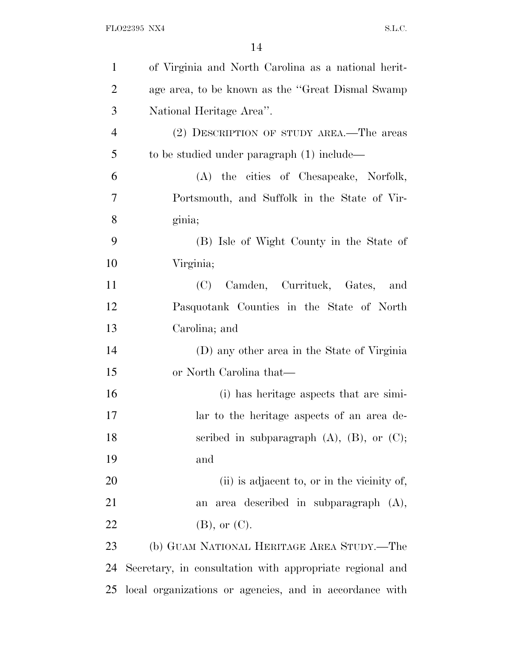| $\mathbf{1}$   | of Virginia and North Carolina as a national herit-      |
|----------------|----------------------------------------------------------|
| $\overline{2}$ | age area, to be known as the "Great Dismal Swamp"        |
| 3              | National Heritage Area".                                 |
| $\overline{4}$ | (2) DESCRIPTION OF STUDY AREA.—The areas                 |
| 5              | to be studied under paragraph (1) include—               |
| 6              | (A) the cities of Chesapeake, Norfolk,                   |
| $\overline{7}$ | Portsmouth, and Suffolk in the State of Vir-             |
| 8              | ginia;                                                   |
| 9              | (B) Isle of Wight County in the State of                 |
| 10             | Virginia;                                                |
| 11             | (C) Camden, Currituck, Gates, and                        |
| 12             | Pasquotank Counties in the State of North                |
| 13             | Carolina; and                                            |
| 14             | (D) any other area in the State of Virginia              |
| 15             | or North Carolina that—                                  |
| 16             | (i) has heritage aspects that are simi-                  |
| 17             | lar to the heritage aspects of an area de-               |
| 18             | scribed in subparagraph $(A)$ , $(B)$ , or $(C)$ ;       |
| 19             | and                                                      |
| 20             | (ii) is adjacent to, or in the vicinity of,              |
| 21             | area described in subparagraph $(A)$ ,<br>an             |
| 22             | $(B)$ , or $(C)$ .                                       |
| 23             | (b) GUAM NATIONAL HERITAGE AREA STUDY.—The               |
| 24             | Secretary, in consultation with appropriate regional and |
| 25             | local organizations or agencies, and in accordance with  |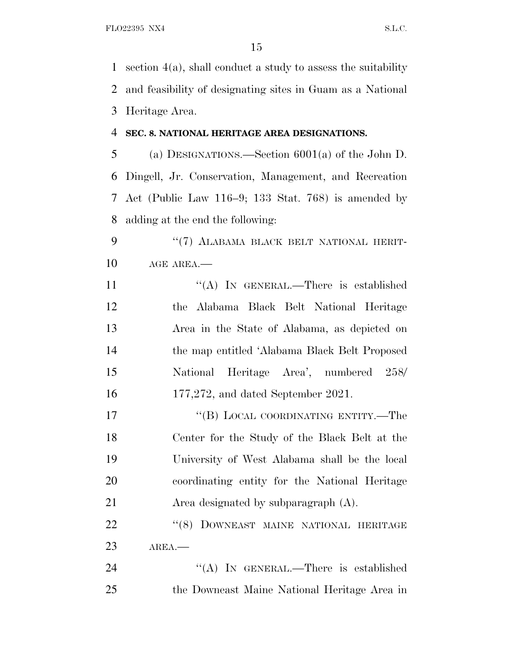section 4(a), shall conduct a study to assess the suitability and feasibility of designating sites in Guam as a National Heritage Area.

#### **SEC. 8. NATIONAL HERITAGE AREA DESIGNATIONS.**

 (a) DESIGNATIONS.—Section 6001(a) of the John D. Dingell, Jr. Conservation, Management, and Recreation Act (Public Law 116–9; 133 Stat. 768) is amended by adding at the end the following:

9 "(7) ALABAMA BLACK BELT NATIONAL HERIT-10 AGE AREA.—

11 ""(A) In GENERAL.—There is established the Alabama Black Belt National Heritage Area in the State of Alabama, as depicted on the map entitled 'Alabama Black Belt Proposed National Heritage Area', numbered 258/ 177,272, and dated September 2021.

17 "(B) LOCAL COORDINATING ENTITY.—The Center for the Study of the Black Belt at the University of West Alabama shall be the local coordinating entity for the National Heritage Area designated by subparagraph (A).

22 "(8) DOWNEAST MAINE NATIONAL HERITAGE AREA.—

24 "(A) IN GENERAL.—There is established the Downeast Maine National Heritage Area in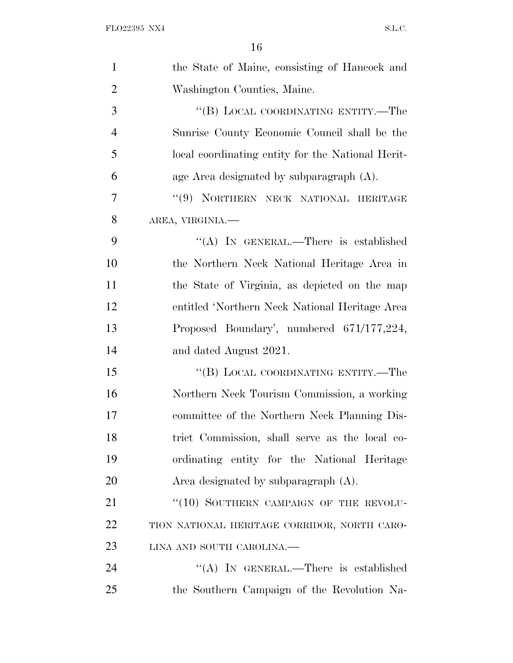| $\mathbf{1}$   | the State of Maine, consisting of Hancock and     |
|----------------|---------------------------------------------------|
| $\overline{2}$ | Washington Counties, Maine.                       |
| 3              | "(B) LOCAL COORDINATING ENTITY.—The               |
| $\overline{4}$ | Sunrise County Economic Council shall be the      |
| 5              | local coordinating entity for the National Herit- |
| 6              | age Area designated by subparagraph $(A)$ .       |
| 7              | "(9) NORTHERN NECK NATIONAL HERITAGE              |
| 8              | AREA, VIRGINIA.                                   |
| 9              | "(A) IN GENERAL.—There is established             |
| 10             | the Northern Neck National Heritage Area in       |
| 11             | the State of Virginia, as depicted on the map     |
| 12             | entitled 'Northern Neck National Heritage Area    |
| 13             | Proposed Boundary', numbered 671/177,224,         |
| 14             | and dated August 2021.                            |
| 15             | "(B) LOCAL COORDINATING ENTITY.—The               |
| 16             | Northern Neck Tourism Commission, a working       |
| 17             | committee of the Northern Neck Planning Dis-      |
| 18             | trict Commission, shall serve as the local co-    |
| 19             | ordinating entity for the National Heritage       |
| 20             | Area designated by subparagraph $(A)$ .           |
| 21             | "(10) SOUTHERN CAMPAIGN OF THE REVOLU-            |
| 22             | TION NATIONAL HERITAGE CORRIDOR, NORTH CARO-      |
| 23             | LINA AND SOUTH CAROLINA.                          |
| 24             | "(A) IN GENERAL.—There is established             |
| 25             | the Southern Campaign of the Revolution Na-       |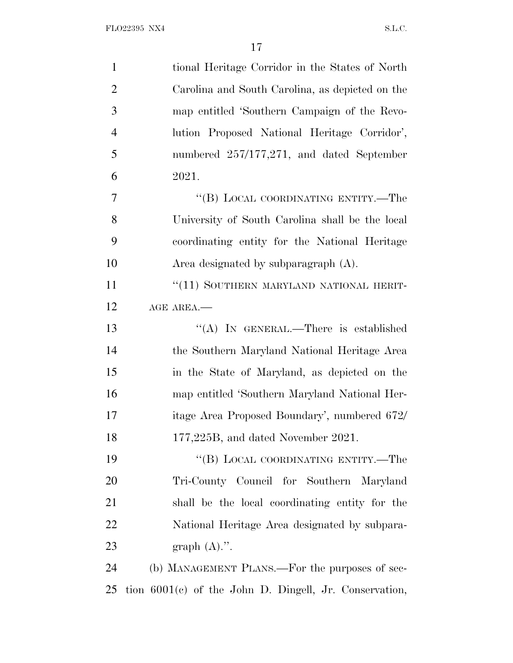| $\mathbf{1}$   | tional Heritage Corridor in the States of North          |
|----------------|----------------------------------------------------------|
| $\overline{2}$ | Carolina and South Carolina, as depicted on the          |
| 3              | map entitled 'Southern Campaign of the Revo-             |
| $\overline{4}$ | lution Proposed National Heritage Corridor',             |
| 5              | numbered $257/177,271$ , and dated September             |
| 6              | 2021.                                                    |
| 7              | "(B) LOCAL COORDINATING ENTITY.—The                      |
| 8              | University of South Carolina shall be the local          |
| 9              | coordinating entity for the National Heritage            |
| 10             | Area designated by subparagraph $(A)$ .                  |
| 11             | "(11) SOUTHERN MARYLAND NATIONAL HERIT-                  |
| 12             | AGE AREA.                                                |
| 13             | "(A) IN GENERAL.—There is established                    |
| 14             | the Southern Maryland National Heritage Area             |
| 15             | in the State of Maryland, as depicted on the             |
| 16             | map entitled 'Southern Maryland National Her-            |
| 17             | itage Area Proposed Boundary', numbered 672/             |
| 18             | $177,225B$ , and dated November 2021.                    |
| 19             | "(B) LOCAL COORDINATING ENTITY.—The                      |
| 20             | Tri-County Council for Southern Maryland                 |
| 21             | shall be the local coordinating entity for the           |
| 22             | National Heritage Area designated by subpara-            |
| 23             | graph $(A)$ .".                                          |
| 24             | (b) MANAGEMENT PLANS.—For the purposes of sec-           |
| 25             | tion $6001(e)$ of the John D. Dingell, Jr. Conservation, |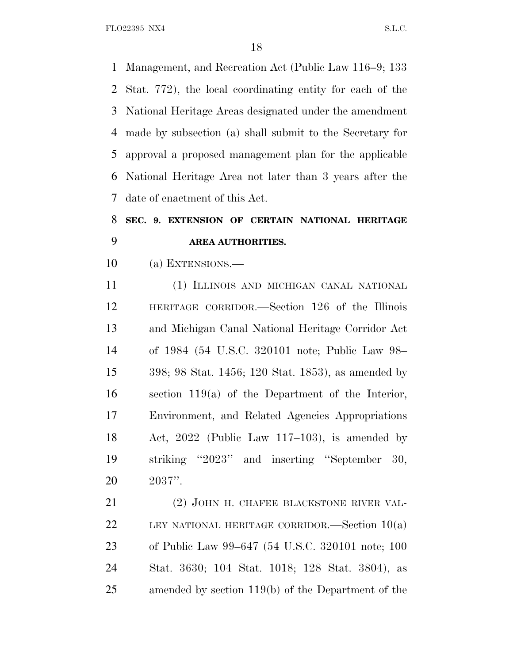Management, and Recreation Act (Public Law 116–9; 133 Stat. 772), the local coordinating entity for each of the National Heritage Areas designated under the amendment made by subsection (a) shall submit to the Secretary for approval a proposed management plan for the applicable National Heritage Area not later than 3 years after the date of enactment of this Act.

# **SEC. 9. EXTENSION OF CERTAIN NATIONAL HERITAGE AREA AUTHORITIES.**

(a) EXTENSIONS.—

 (1) ILLINOIS AND MICHIGAN CANAL NATIONAL HERITAGE CORRIDOR.—Section 126 of the Illinois and Michigan Canal National Heritage Corridor Act of 1984 (54 U.S.C. 320101 note; Public Law 98– 398; 98 Stat. 1456; 120 Stat. 1853), as amended by section 119(a) of the Department of the Interior, Environment, and Related Agencies Appropriations Act, 2022 (Public Law 117–103), is amended by striking ''2023'' and inserting ''September 30, 2037''.

 (2) JOHN H. CHAFEE BLACKSTONE RIVER VAL-22 LEY NATIONAL HERITAGE CORRIDOR.—Section  $10(a)$  of Public Law 99–647 (54 U.S.C. 320101 note; 100 Stat. 3630; 104 Stat. 1018; 128 Stat. 3804), as amended by section 119(b) of the Department of the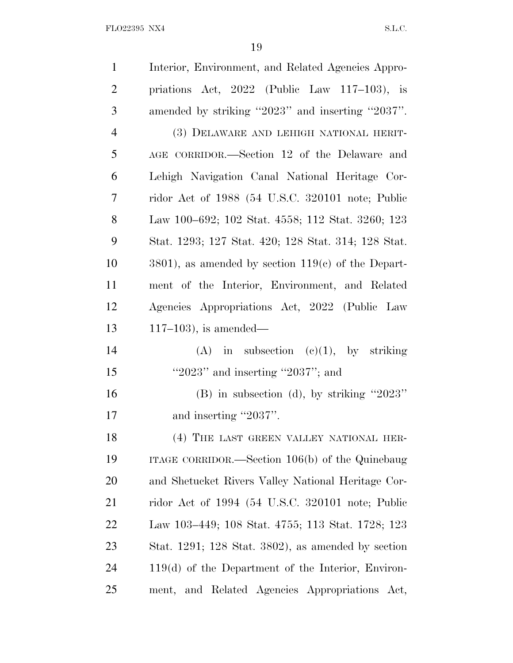| $\mathbf{1}$   | Interior, Environment, and Related Agencies Appro-     |
|----------------|--------------------------------------------------------|
| $\overline{2}$ | priations Act, $2022$ (Public Law 117-103), is         |
| 3              | amended by striking "2023" and inserting "2037".       |
| $\overline{4}$ | (3) DELAWARE AND LEHIGH NATIONAL HERIT-                |
| 5              | AGE CORRIDOR.—Section 12 of the Delaware and           |
| 6              | Lehigh Navigation Canal National Heritage Cor-         |
| 7              | ridor Act of 1988 (54 U.S.C. 320101 note; Public       |
| 8              | Law 100–692; 102 Stat. 4558; 112 Stat. 3260; 123       |
| 9              | Stat. 1293; 127 Stat. 420; 128 Stat. 314; 128 Stat.    |
| 10             | $3801$ , as amended by section $119(c)$ of the Depart- |
| 11             | ment of the Interior, Environment, and Related         |
| 12             | Agencies Appropriations Act, 2022 (Public Law          |
| 13             | $117-103$ ), is amended—                               |
| 14             | in subsection $(c)(1)$ , by striking<br>(A)            |
| 15             | "2023" and inserting "2037"; and                       |
| 16             | $(B)$ in subsection (d), by striking "2023"            |
| 17             | and inserting "2037".                                  |
| 18             | (4) THE LAST GREEN VALLEY NATIONAL HER-                |
| 19             | ITAGE CORRIDOR.—Section $106(b)$ of the Quinebaug      |
| 20             | and Shetucket Rivers Valley National Heritage Cor-     |
| 21             | ridor Act of 1994 (54 U.S.C. 320101 note; Public       |
| <u>22</u>      | Law 103–449; 108 Stat. 4755; 113 Stat. 1728; 123       |
| 23             | Stat. 1291; 128 Stat. 3802), as amended by section     |
| 24             | $119(d)$ of the Department of the Interior, Environ-   |
| 25             | ment, and Related Agencies Appropriations Act,         |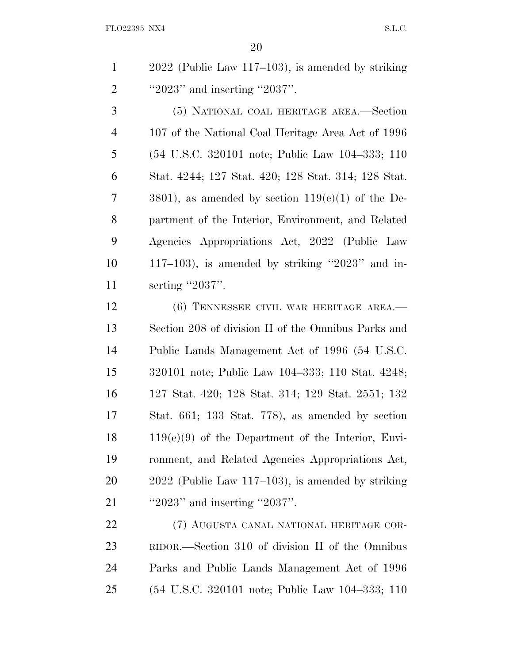2022 (Public Law 117–103), is amended by striking 2 '2023'' and inserting ''2037''.

 (5) NATIONAL COAL HERITAGE AREA.—Section 107 of the National Coal Heritage Area Act of 1996 (54 U.S.C. 320101 note; Public Law 104–333; 110 Stat. 4244; 127 Stat. 420; 128 Stat. 314; 128 Stat. 3801), as amended by section 119(e)(1) of the De- partment of the Interior, Environment, and Related Agencies Appropriations Act, 2022 (Public Law 117–103), is amended by striking ''2023'' and in-11 serting "2037".

12 (6) TENNESSEE CIVIL WAR HERITAGE AREA.— Section 208 of division II of the Omnibus Parks and Public Lands Management Act of 1996 (54 U.S.C. 320101 note; Public Law 104–333; 110 Stat. 4248; 127 Stat. 420; 128 Stat. 314; 129 Stat. 2551; 132 Stat. 661; 133 Stat. 778), as amended by section 119(e)(9) of the Department of the Interior, Envi- ronment, and Related Agencies Appropriations Act, 2022 (Public Law 117–103), is amended by striking 21 ''2023'' and inserting ''2037''.

 (7) AUGUSTA CANAL NATIONAL HERITAGE COR- RIDOR.—Section 310 of division II of the Omnibus Parks and Public Lands Management Act of 1996 (54 U.S.C. 320101 note; Public Law 104–333; 110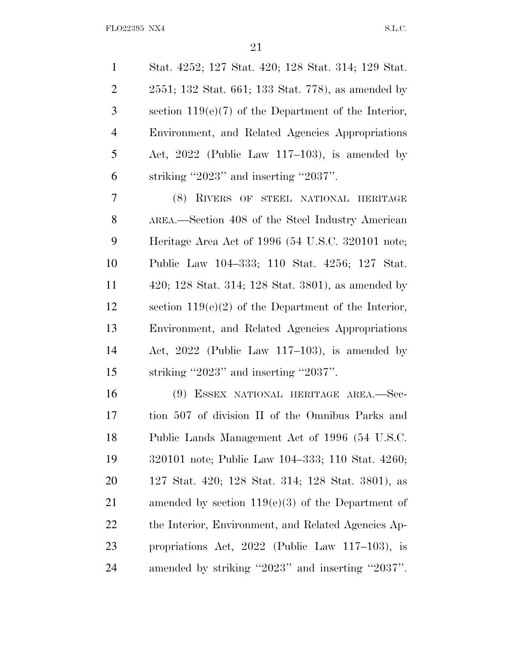Stat. 4252; 127 Stat. 420; 128 Stat. 314; 129 Stat. 2551; 132 Stat. 661; 133 Stat. 778), as amended by section 119(e)(7) of the Department of the Interior, Environment, and Related Agencies Appropriations Act, 2022 (Public Law 117–103), is amended by 6 striking  $"2023"$  and inserting  $"2037"$ .

 (8) RIVERS OF STEEL NATIONAL HERITAGE AREA.—Section 408 of the Steel Industry American Heritage Area Act of 1996 (54 U.S.C. 320101 note; Public Law 104–333; 110 Stat. 4256; 127 Stat. 420; 128 Stat. 314; 128 Stat. 3801), as amended by section 119(e)(2) of the Department of the Interior, Environment, and Related Agencies Appropriations Act, 2022 (Public Law 117–103), is amended by striking ''2023'' and inserting ''2037''.

 (9) ESSEX NATIONAL HERITAGE AREA.—Sec- tion 507 of division II of the Omnibus Parks and Public Lands Management Act of 1996 (54 U.S.C. 320101 note; Public Law 104–333; 110 Stat. 4260; 127 Stat. 420; 128 Stat. 314; 128 Stat. 3801), as amended by section 119(e)(3) of the Department of the Interior, Environment, and Related Agencies Ap- propriations Act, 2022 (Public Law 117–103), is amended by striking ''2023'' and inserting ''2037''.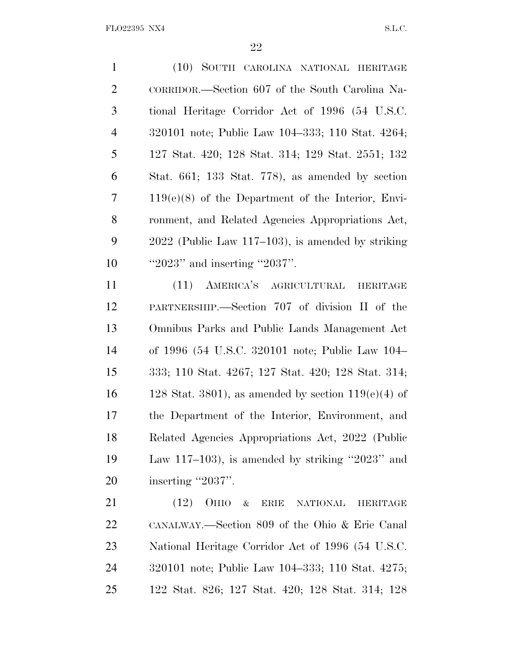(10) SOUTH CAROLINA NATIONAL HERITAGE CORRIDOR.—Section 607 of the South Carolina Na- tional Heritage Corridor Act of 1996 (54 U.S.C. 320101 note; Public Law 104–333; 110 Stat. 4264; 127 Stat. 420; 128 Stat. 314; 129 Stat. 2551; 132 Stat. 661; 133 Stat. 778), as amended by section 119(e)(8) of the Department of the Interior, Envi- ronment, and Related Agencies Appropriations Act, 2022 (Public Law 117–103), is amended by striking 10 '2023'' and inserting "2037". (11) AMERICA'S AGRICULTURAL HERITAGE PARTNERSHIP.—Section 707 of division II of the

 Omnibus Parks and Public Lands Management Act of 1996 (54 U.S.C. 320101 note; Public Law 104– 333; 110 Stat. 4267; 127 Stat. 420; 128 Stat. 314; 16 128 Stat. 3801), as amended by section  $119(e)(4)$  of the Department of the Interior, Environment, and Related Agencies Appropriations Act, 2022 (Public Law 117–103), is amended by striking ''2023'' and 20 inserting "2037".

 (12) OHIO & ERIE NATIONAL HERITAGE CANALWAY.—Section 809 of the Ohio & Erie Canal National Heritage Corridor Act of 1996 (54 U.S.C. 320101 note; Public Law 104–333; 110 Stat. 4275; 122 Stat. 826; 127 Stat. 420; 128 Stat. 314; 128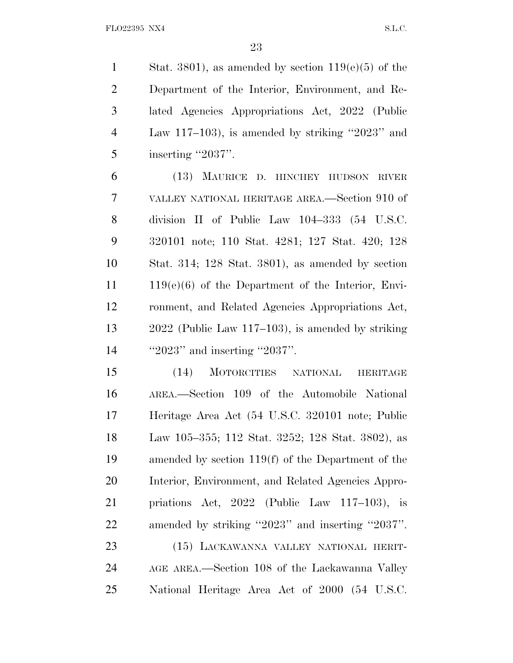1 Stat. 3801), as amended by section  $119(e)(5)$  of the Department of the Interior, Environment, and Re- lated Agencies Appropriations Act, 2022 (Public Law 117–103), is amended by striking ''2023'' and 5 inserting "2037".

 (13) MAURICE D. HINCHEY HUDSON RIVER VALLEY NATIONAL HERITAGE AREA.—Section 910 of division II of Public Law 104–333 (54 U.S.C. 320101 note; 110 Stat. 4281; 127 Stat. 420; 128 Stat. 314; 128 Stat. 3801), as amended by section 119(e)(6) of the Department of the Interior, Envi- ronment, and Related Agencies Appropriations Act, 2022 (Public Law 117–103), is amended by striking 14 "2023" and inserting "2037".

 (14) MOTORCITIES NATIONAL HERITAGE AREA.—Section 109 of the Automobile National Heritage Area Act (54 U.S.C. 320101 note; Public Law 105–355; 112 Stat. 3252; 128 Stat. 3802), as amended by section 119(f) of the Department of the Interior, Environment, and Related Agencies Appro- priations Act, 2022 (Public Law 117–103), is amended by striking ''2023'' and inserting ''2037''. (15) LACKAWANNA VALLEY NATIONAL HERIT-

 AGE AREA.—Section 108 of the Lackawanna Valley National Heritage Area Act of 2000 (54 U.S.C.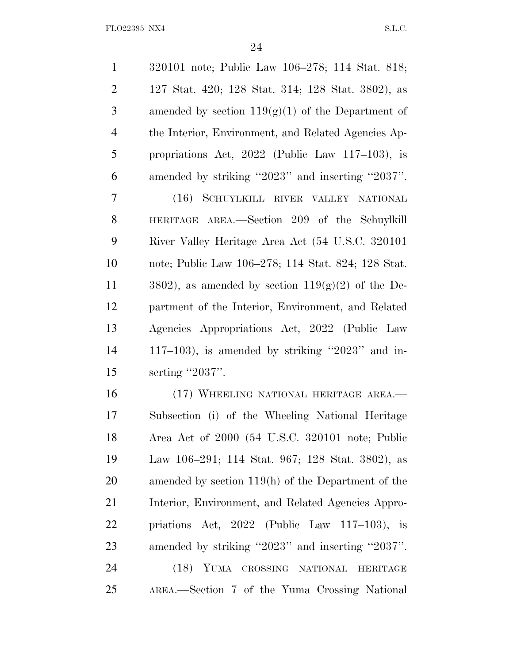| $\mathbf{1}$   | 320101 note; Public Law 106–278; 114 Stat. 818;      |
|----------------|------------------------------------------------------|
| $\overline{2}$ | 127 Stat. 420; 128 Stat. 314; 128 Stat. 3802), as    |
| 3              | amended by section $119(g)(1)$ of the Department of  |
| $\overline{4}$ | the Interior, Environment, and Related Agencies Ap-  |
| 5              | propriations Act, $2022$ (Public Law 117–103), is    |
| 6              | amended by striking "2023" and inserting "2037".     |
| 7              | (16) SCHUYLKILL RIVER VALLEY NATIONAL                |
| 8              | HERITAGE AREA.—Section 209 of the Schuylkill         |
| 9              | River Valley Heritage Area Act (54 U.S.C. 320101)    |
| 10             | note; Public Law 106-278; 114 Stat. 824; 128 Stat.   |
| 11             | 3802), as amended by section $119(g)(2)$ of the De-  |
| 12             | partment of the Interior, Environment, and Related   |
| 13             | Agencies Appropriations Act, 2022 (Public Law        |
| 14             | $117-103$ ), is amended by striking "2023" and in-   |
| 15             | serting $"2037"$ .                                   |
| 16             | (17) WHEELING NATIONAL HERITAGE AREA.—               |
| 17             | Subsection (i) of the Wheeling National Heritage     |
| 18             | Area Act of 2000 (54 U.S.C. 320101 note; Public      |
| 19             | Law 106–291; 114 Stat. 967; 128 Stat. 3802), as      |
| 20             | amended by section $119(h)$ of the Department of the |
| 21             | Interior, Environment, and Related Agencies Appro-   |
| 22             | priations Act, $2022$ (Public Law 117–103), is       |
| 23             | amended by striking "2023" and inserting "2037".     |
| 24             | (18) YUMA CROSSING NATIONAL<br><b>HERITAGE</b>       |
| 25             | AREA.—Section 7 of the Yuma Crossing National        |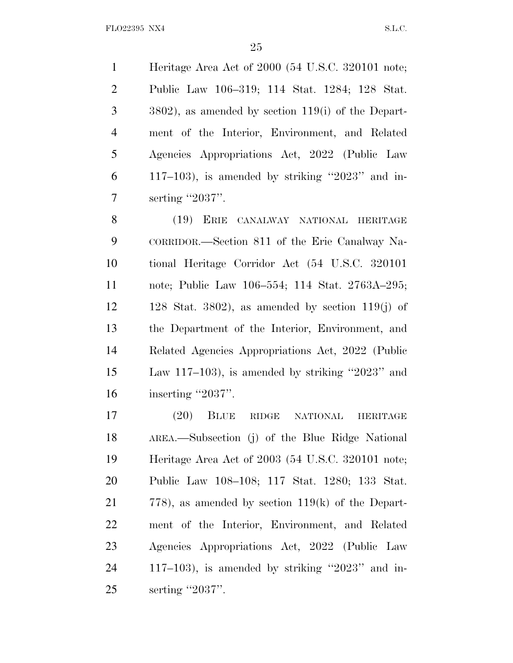Heritage Area Act of 2000 (54 U.S.C. 320101 note; Public Law 106–319; 114 Stat. 1284; 128 Stat. 3802), as amended by section 119(i) of the Depart- ment of the Interior, Environment, and Related Agencies Appropriations Act, 2022 (Public Law  $6 \qquad 117-103$ , is amended by striking "2023" and in-7 serting "2037".

 (19) ERIE CANALWAY NATIONAL HERITAGE CORRIDOR.—Section 811 of the Erie Canalway Na- tional Heritage Corridor Act (54 U.S.C. 320101 note; Public Law 106–554; 114 Stat. 2763A–295;  $12 \t 128$  Stat. 3802), as amended by section 119(j) of the Department of the Interior, Environment, and Related Agencies Appropriations Act, 2022 (Public Law 117–103), is amended by striking ''2023'' and 16 inserting "2037".

 (20) BLUE RIDGE NATIONAL HERITAGE AREA.—Subsection (j) of the Blue Ridge National Heritage Area Act of 2003 (54 U.S.C. 320101 note; Public Law 108–108; 117 Stat. 1280; 133 Stat. 778), as amended by section 119(k) of the Depart- ment of the Interior, Environment, and Related Agencies Appropriations Act, 2022 (Public Law 117–103), is amended by striking ''2023'' and in-serting ''2037''.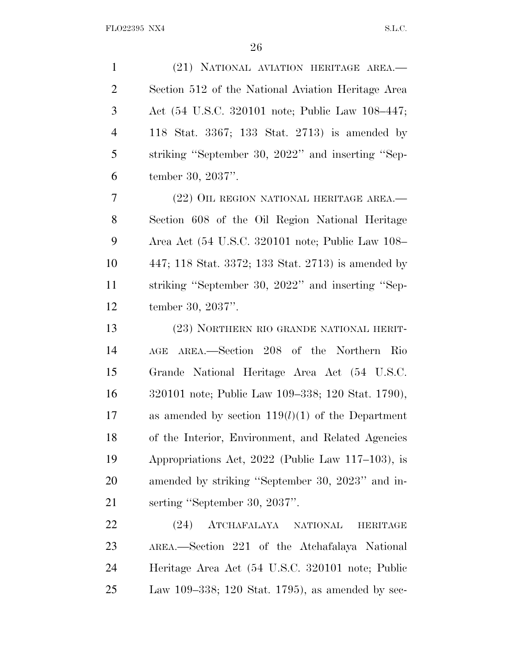(21) NATIONAL AVIATION HERITAGE AREA.— Section 512 of the National Aviation Heritage Area Act (54 U.S.C. 320101 note; Public Law 108–447; 118 Stat. 3367; 133 Stat. 2713) is amended by striking ''September 30, 2022'' and inserting ''Sep-tember 30, 2037''.

 (22) OIL REGION NATIONAL HERITAGE AREA.— Section 608 of the Oil Region National Heritage Area Act (54 U.S.C. 320101 note; Public Law 108– 447; 118 Stat. 3372; 133 Stat. 2713) is amended by striking ''September 30, 2022'' and inserting ''Sep-tember 30, 2037''.

 (23) NORTHERN RIO GRANDE NATIONAL HERIT- AGE AREA.—Section 208 of the Northern Rio Grande National Heritage Area Act (54 U.S.C. 320101 note; Public Law 109–338; 120 Stat. 1790), as amended by section 119(*l*)(1) of the Department of the Interior, Environment, and Related Agencies Appropriations Act, 2022 (Public Law 117–103), is amended by striking ''September 30, 2023'' and in-serting ''September 30, 2037''.

 (24) ATCHAFALAYA NATIONAL HERITAGE AREA.—Section 221 of the Atchafalaya National Heritage Area Act (54 U.S.C. 320101 note; Public Law 109–338; 120 Stat. 1795), as amended by sec-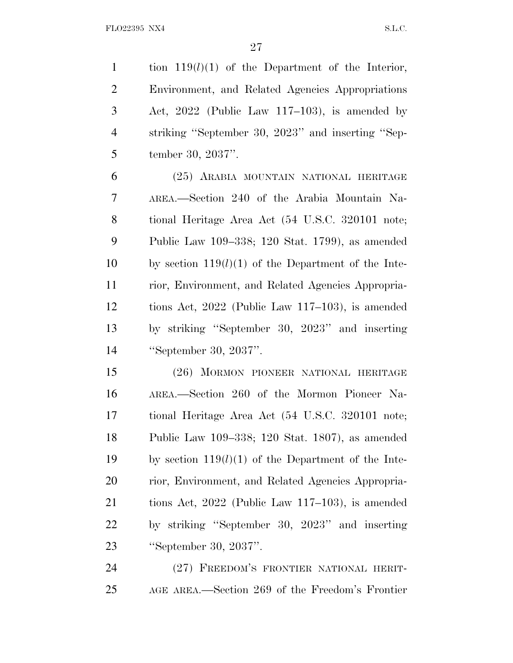tion 119(*l*)(1) of the Department of the Interior, Environment, and Related Agencies Appropriations Act, 2022 (Public Law 117–103), is amended by striking ''September 30, 2023'' and inserting ''Sep-tember 30, 2037''.

 (25) ARABIA MOUNTAIN NATIONAL HERITAGE AREA.—Section 240 of the Arabia Mountain Na- tional Heritage Area Act (54 U.S.C. 320101 note; Public Law 109–338; 120 Stat. 1799), as amended by section 119(*l*)(1) of the Department of the Inte- rior, Environment, and Related Agencies Appropria- tions Act, 2022 (Public Law 117–103), is amended by striking ''September 30, 2023'' and inserting ''September 30, 2037''.

 (26) MORMON PIONEER NATIONAL HERITAGE AREA.—Section 260 of the Mormon Pioneer Na- tional Heritage Area Act (54 U.S.C. 320101 note; Public Law 109–338; 120 Stat. 1807), as amended by section 119(*l*)(1) of the Department of the Inte- rior, Environment, and Related Agencies Appropria- tions Act, 2022 (Public Law 117–103), is amended by striking ''September 30, 2023'' and inserting ''September 30, 2037''.

 (27) FREEDOM'S FRONTIER NATIONAL HERIT-AGE AREA.—Section 269 of the Freedom's Frontier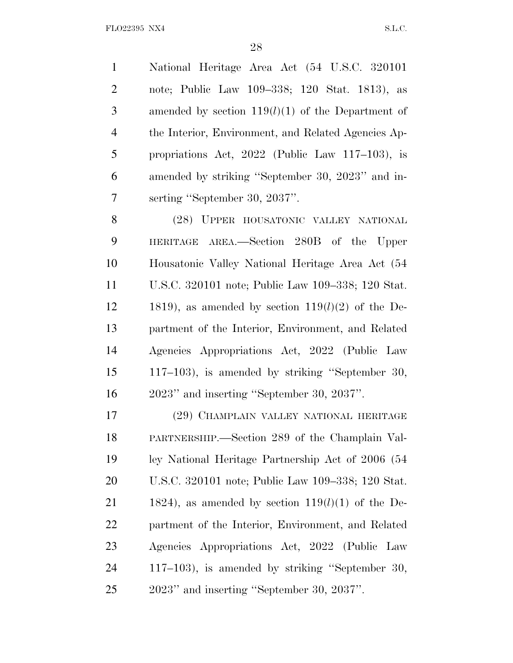National Heritage Area Act (54 U.S.C. 320101 note; Public Law 109–338; 120 Stat. 1813), as amended by section 119(*l*)(1) of the Department of the Interior, Environment, and Related Agencies Ap- propriations Act, 2022 (Public Law 117–103), is amended by striking ''September 30, 2023'' and in-serting ''September 30, 2037''.

 (28) UPPER HOUSATONIC VALLEY NATIONAL HERITAGE AREA.—Section 280B of the Upper Housatonic Valley National Heritage Area Act (54 U.S.C. 320101 note; Public Law 109–338; 120 Stat. 12 1819), as amended by section  $119(l)(2)$  of the De- partment of the Interior, Environment, and Related Agencies Appropriations Act, 2022 (Public Law 117–103), is amended by striking ''September 30, 2023'' and inserting ''September 30, 2037''.

 (29) CHAMPLAIN VALLEY NATIONAL HERITAGE PARTNERSHIP.—Section 289 of the Champlain Val- ley National Heritage Partnership Act of 2006 (54 U.S.C. 320101 note; Public Law 109–338; 120 Stat. 21 1824), as amended by section  $119(l)(1)$  of the De- partment of the Interior, Environment, and Related Agencies Appropriations Act, 2022 (Public Law 117–103), is amended by striking ''September 30, 2023'' and inserting ''September 30, 2037''.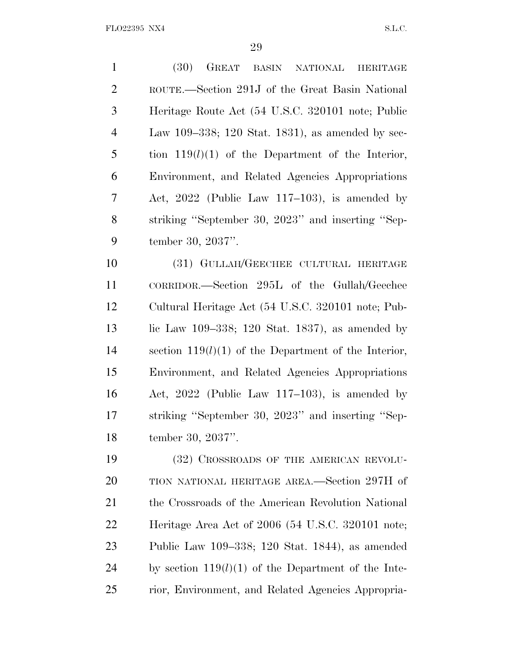(30) GREAT BASIN NATIONAL HERITAGE ROUTE.—Section 291J of the Great Basin National Heritage Route Act (54 U.S.C. 320101 note; Public Law 109–338; 120 Stat. 1831), as amended by sec- tion 119(*l*)(1) of the Department of the Interior, Environment, and Related Agencies Appropriations Act, 2022 (Public Law 117–103), is amended by striking ''September 30, 2023'' and inserting ''Sep-tember 30, 2037''.

 (31) GULLAH/GEECHEE CULTURAL HERITAGE CORRIDOR.—Section 295L of the Gullah/Geechee Cultural Heritage Act (54 U.S.C. 320101 note; Pub-13 lic Law 109–338; 120 Stat. 1837), as amended by section 119(*l*)(1) of the Department of the Interior, Environment, and Related Agencies Appropriations Act, 2022 (Public Law 117–103), is amended by striking ''September 30, 2023'' and inserting ''Sep-tember 30, 2037''.

19 (32) CROSSROADS OF THE AMERICAN REVOLU- TION NATIONAL HERITAGE AREA.—Section 297H of 21 the Crossroads of the American Revolution National Heritage Area Act of 2006 (54 U.S.C. 320101 note; Public Law 109–338; 120 Stat. 1844), as amended by section 119(*l*)(1) of the Department of the Inte-rior, Environment, and Related Agencies Appropria-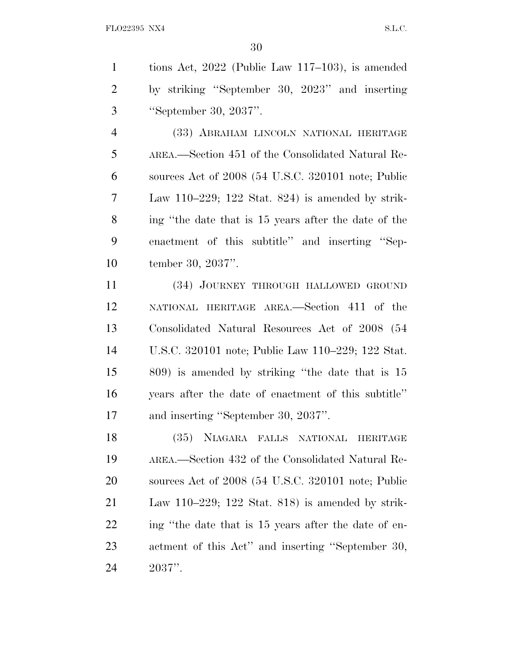|   | tions Act, $2022$ (Public Law 117–103), is amended |
|---|----------------------------------------------------|
| 2 | by striking "September 30, 2023" and inserting     |
| 3 | "September 30, 2037".                              |

 (33) ABRAHAM LINCOLN NATIONAL HERITAGE AREA.—Section 451 of the Consolidated Natural Re- sources Act of 2008 (54 U.S.C. 320101 note; Public Law 110–229; 122 Stat. 824) is amended by strik- ing ''the date that is 15 years after the date of the enactment of this subtitle'' and inserting ''Sep-tember 30, 2037''.

 (34) JOURNEY THROUGH HALLOWED GROUND NATIONAL HERITAGE AREA.—Section 411 of the Consolidated Natural Resources Act of 2008 (54 U.S.C. 320101 note; Public Law 110–229; 122 Stat. 809) is amended by striking ''the date that is 15 years after the date of enactment of this subtitle'' and inserting ''September 30, 2037''.

 (35) NIAGARA FALLS NATIONAL HERITAGE AREA.—Section 432 of the Consolidated Natural Re- sources Act of 2008 (54 U.S.C. 320101 note; Public Law 110–229; 122 Stat. 818) is amended by strik-22 ing "the date that is 15 years after the date of en- actment of this Act'' and inserting ''September 30, 2037''.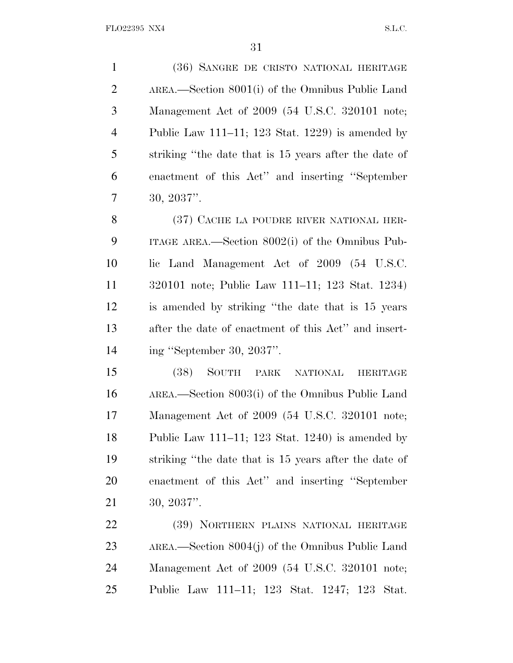(36) SANGRE DE CRISTO NATIONAL HERITAGE AREA.—Section 8001(i) of the Omnibus Public Land Management Act of 2009 (54 U.S.C. 320101 note; Public Law 111–11; 123 Stat. 1229) is amended by striking ''the date that is 15 years after the date of enactment of this Act'' and inserting ''September 30, 2037''.

8 (37) CACHE LA POUDRE RIVER NATIONAL HER- ITAGE AREA.—Section 8002(i) of the Omnibus Pub- lic Land Management Act of 2009 (54 U.S.C. 320101 note; Public Law 111–11; 123 Stat. 1234) is amended by striking ''the date that is 15 years after the date of enactment of this Act'' and insert-ing ''September 30, 2037''.

 (38) SOUTH PARK NATIONAL HERITAGE AREA.—Section 8003(i) of the Omnibus Public Land Management Act of 2009 (54 U.S.C. 320101 note; Public Law 111–11; 123 Stat. 1240) is amended by striking ''the date that is 15 years after the date of enactment of this Act'' and inserting ''September 30, 2037''.

 (39) NORTHERN PLAINS NATIONAL HERITAGE AREA.—Section 8004(j) of the Omnibus Public Land Management Act of 2009 (54 U.S.C. 320101 note; Public Law 111–11; 123 Stat. 1247; 123 Stat.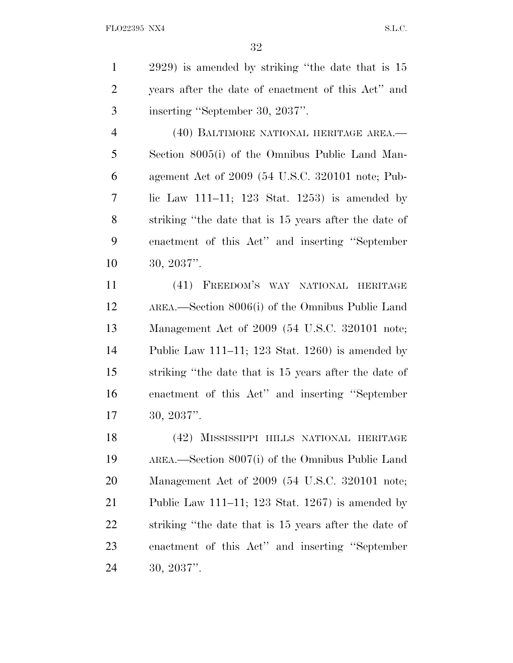2929) is amended by striking ''the date that is 15 years after the date of enactment of this Act'' and inserting ''September 30, 2037''.

 (40) BALTIMORE NATIONAL HERITAGE AREA.— Section 8005(i) of the Omnibus Public Land Man- agement Act of 2009 (54 U.S.C. 320101 note; Pub- lic Law 111–11; 123 Stat. 1253) is amended by striking ''the date that is 15 years after the date of enactment of this Act'' and inserting ''September 30, 2037''.

 (41) FREEDOM'S WAY NATIONAL HERITAGE AREA.—Section 8006(i) of the Omnibus Public Land Management Act of 2009 (54 U.S.C. 320101 note; Public Law 111–11; 123 Stat. 1260) is amended by striking ''the date that is 15 years after the date of enactment of this Act'' and inserting ''September 30, 2037''.

 (42) MISSISSIPPI HILLS NATIONAL HERITAGE AREA.—Section 8007(i) of the Omnibus Public Land Management Act of 2009 (54 U.S.C. 320101 note; Public Law 111–11; 123 Stat. 1267) is amended by striking ''the date that is 15 years after the date of enactment of this Act'' and inserting ''September 30, 2037''.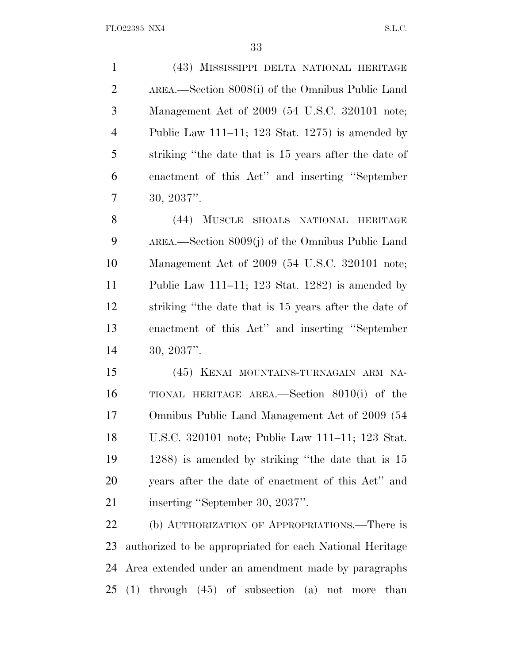(43) MISSISSIPPI DELTA NATIONAL HERITAGE AREA.—Section 8008(i) of the Omnibus Public Land Management Act of 2009 (54 U.S.C. 320101 note; Public Law 111–11; 123 Stat. 1275) is amended by striking ''the date that is 15 years after the date of enactment of this Act'' and inserting ''September 30, 2037''.

 (44) MUSCLE SHOALS NATIONAL HERITAGE AREA.—Section 8009(j) of the Omnibus Public Land Management Act of 2009 (54 U.S.C. 320101 note; Public Law 111–11; 123 Stat. 1282) is amended by striking ''the date that is 15 years after the date of enactment of this Act'' and inserting ''September 30, 2037''.

 (45) KENAI MOUNTAINS-TURNAGAIN ARM NA- TIONAL HERITAGE AREA.—Section 8010(i) of the Omnibus Public Land Management Act of 2009 (54 U.S.C. 320101 note; Public Law 111–11; 123 Stat. 1288) is amended by striking ''the date that is 15 years after the date of enactment of this Act'' and 21 inserting "September 30, 2037".

22 (b) AUTHORIZATION OF APPROPRIATIONS.—There is authorized to be appropriated for each National Heritage Area extended under an amendment made by paragraphs (1) through (45) of subsection (a) not more than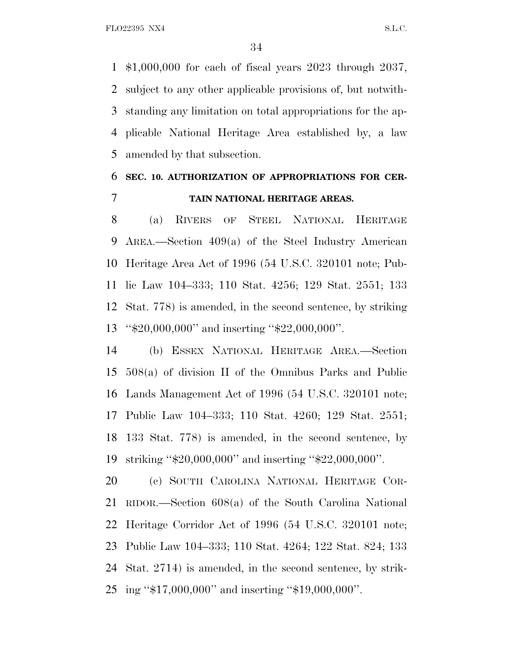\$1,000,000 for each of fiscal years 2023 through 2037, subject to any other applicable provisions of, but notwith- standing any limitation on total appropriations for the ap- plicable National Heritage Area established by, a law amended by that subsection.

## **SEC. 10. AUTHORIZATION OF APPROPRIATIONS FOR CER-TAIN NATIONAL HERITAGE AREAS.**

 (a) RIVERS OF STEEL NATIONAL HERITAGE AREA.—Section 409(a) of the Steel Industry American Heritage Area Act of 1996 (54 U.S.C. 320101 note; Pub- lic Law 104–333; 110 Stat. 4256; 129 Stat. 2551; 133 Stat. 778) is amended, in the second sentence, by striking ''\$20,000,000'' and inserting ''\$22,000,000''.

 (b) ESSEX NATIONAL HERITAGE AREA.—Section 508(a) of division II of the Omnibus Parks and Public Lands Management Act of 1996 (54 U.S.C. 320101 note; Public Law 104–333; 110 Stat. 4260; 129 Stat. 2551; 133 Stat. 778) is amended, in the second sentence, by striking ''\$20,000,000'' and inserting ''\$22,000,000''.

 (c) SOUTH CAROLINA NATIONAL HERITAGE COR- RIDOR.—Section 608(a) of the South Carolina National Heritage Corridor Act of 1996 (54 U.S.C. 320101 note; Public Law 104–333; 110 Stat. 4264; 122 Stat. 824; 133 Stat. 2714) is amended, in the second sentence, by strik-ing ''\$17,000,000'' and inserting ''\$19,000,000''.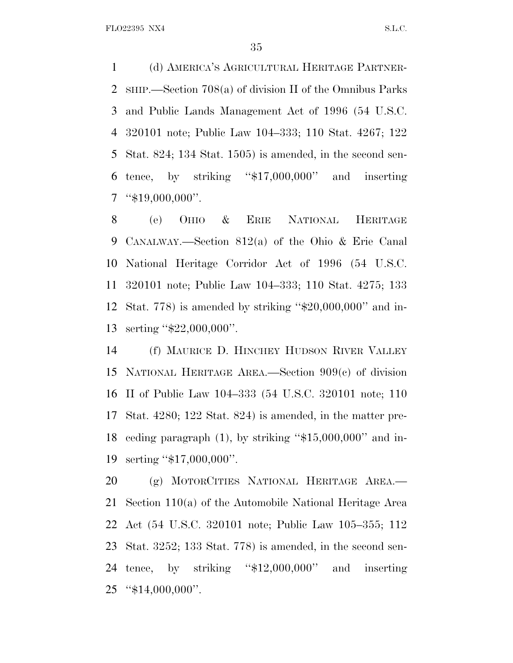(d) AMERICA'<sup>S</sup> AGRICULTURAL HERITAGE PARTNER- SHIP.—Section 708(a) of division II of the Omnibus Parks and Public Lands Management Act of 1996 (54 U.S.C. 320101 note; Public Law 104–333; 110 Stat. 4267; 122 Stat. 824; 134 Stat. 1505) is amended, in the second sen-6 tence, by striking " $$17,000,000$ " and inserting "\$19,000,000".

 (e) OHIO & ERIE NATIONAL HERITAGE CANALWAY.—Section 812(a) of the Ohio & Erie Canal National Heritage Corridor Act of 1996 (54 U.S.C. 320101 note; Public Law 104–333; 110 Stat. 4275; 133 Stat. 778) is amended by striking ''\$20,000,000'' and in-serting ''\$22,000,000''.

 (f) MAURICE D. HINCHEY HUDSON RIVER VALLEY NATIONAL HERITAGE AREA.—Section 909(c) of division II of Public Law 104–333 (54 U.S.C. 320101 note; 110 Stat. 4280; 122 Stat. 824) is amended, in the matter pre- ceding paragraph (1), by striking ''\$15,000,000'' and in-serting ''\$17,000,000''.

 (g) MOTORCITIES NATIONAL HERITAGE AREA.— Section 110(a) of the Automobile National Heritage Area Act (54 U.S.C. 320101 note; Public Law 105–355; 112 Stat. 3252; 133 Stat. 778) is amended, in the second sen- tence, by striking ''\$12,000,000'' and inserting ''\$14,000,000''.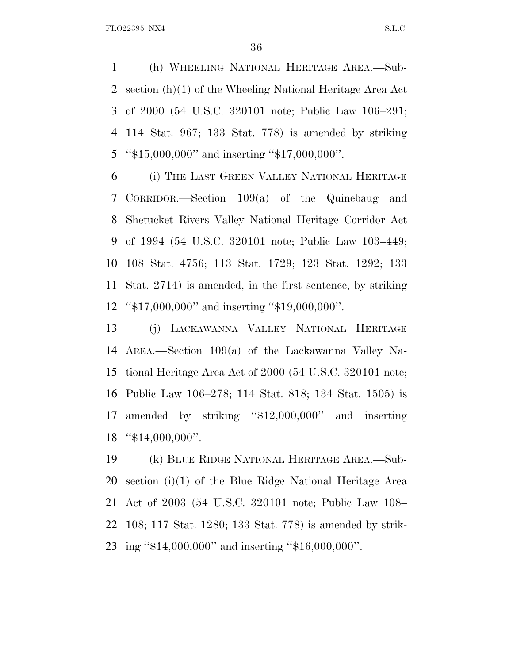(h) WHEELING NATIONAL HERITAGE AREA.—Sub- section (h)(1) of the Wheeling National Heritage Area Act of 2000 (54 U.S.C. 320101 note; Public Law 106–291; 114 Stat. 967; 133 Stat. 778) is amended by striking ''\$15,000,000'' and inserting ''\$17,000,000''.

 (i) THE LAST GREEN VALLEY NATIONAL HERITAGE CORRIDOR.—Section 109(a) of the Quinebaug and Shetucket Rivers Valley National Heritage Corridor Act of 1994 (54 U.S.C. 320101 note; Public Law 103–449; 108 Stat. 4756; 113 Stat. 1729; 123 Stat. 1292; 133 Stat. 2714) is amended, in the first sentence, by striking ''\$17,000,000'' and inserting ''\$19,000,000''.

 (j) LACKAWANNA VALLEY NATIONAL HERITAGE AREA.—Section 109(a) of the Lackawanna Valley Na- tional Heritage Area Act of 2000 (54 U.S.C. 320101 note; Public Law 106–278; 114 Stat. 818; 134 Stat. 1505) is amended by striking ''\$12,000,000'' and inserting ''\$14,000,000''.

 (k) BLUE RIDGE NATIONAL HERITAGE AREA.—Sub- section (i)(1) of the Blue Ridge National Heritage Area Act of 2003 (54 U.S.C. 320101 note; Public Law 108– 108; 117 Stat. 1280; 133 Stat. 778) is amended by strik-ing ''\$14,000,000'' and inserting ''\$16,000,000''.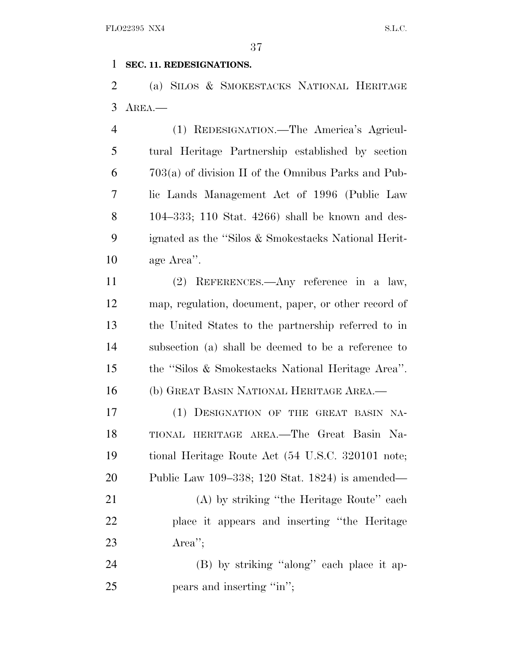#### **SEC. 11. REDESIGNATIONS.**

 (a) SILOS & SMOKESTACKS NATIONAL HERITAGE AREA.—

 (1) REDESIGNATION.—The America's Agricul- tural Heritage Partnership established by section 703(a) of division II of the Omnibus Parks and Pub- lic Lands Management Act of 1996 (Public Law 104–333; 110 Stat. 4266) shall be known and des- ignated as the ''Silos & Smokestacks National Herit-age Area''.

 (2) REFERENCES.—Any reference in a law, map, regulation, document, paper, or other record of the United States to the partnership referred to in subsection (a) shall be deemed to be a reference to the ''Silos & Smokestacks National Heritage Area''. (b) GREAT BASIN NATIONAL HERITAGE AREA.—

 (1) DESIGNATION OF THE GREAT BASIN NA- TIONAL HERITAGE AREA.—The Great Basin Na- tional Heritage Route Act (54 U.S.C. 320101 note; Public Law 109–338; 120 Stat. 1824) is amended— 21 (A) by striking "the Heritage Route" each place it appears and inserting ''the Heritage Area'';

24 (B) by striking "along" each place it ap-25 pears and inserting "in";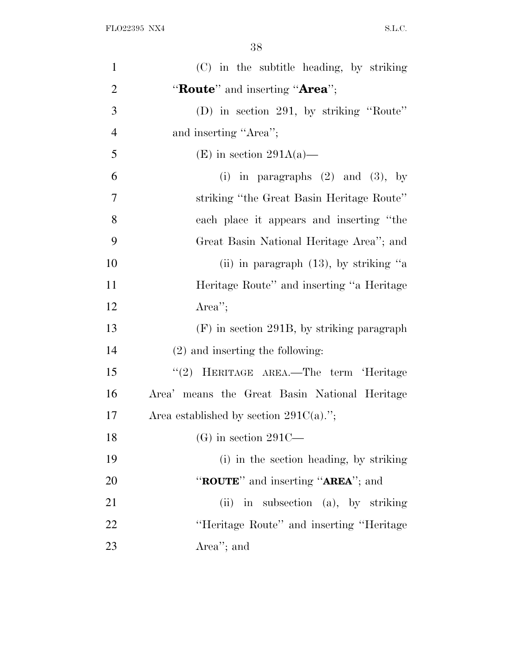| $\mathbf{1}$   | (C) in the subtitle heading, by striking            |
|----------------|-----------------------------------------------------|
| $\overline{2}$ | "Route" and inserting "Area";                       |
| 3              | (D) in section 291, by striking "Route"             |
| $\overline{4}$ | and inserting "Area";                               |
| 5              | (E) in section $291A(a)$ —                          |
| 6              | (i) in paragraphs $(2)$ and $(3)$ , by              |
| $\overline{7}$ | striking "the Great Basin Heritage Route"           |
| 8              | each place it appears and inserting "the            |
| 9              | Great Basin National Heritage Area''; and           |
| 10             | (ii) in paragraph $(13)$ , by striking "a           |
| 11             | Heritage Route" and inserting "a Heritage           |
| 12             | Area'';                                             |
| 13             | $(F)$ in section 291B, by striking paragraph        |
| 14             | $(2)$ and inserting the following:                  |
| 15             | "(2) HERITAGE AREA.—The term 'Heritage              |
| 16             | Area' means the Great Basin National Heritage       |
| 17             | Area established by section $291C(a)$ .";           |
| 18             | $(G)$ in section 291C—                              |
| 19             | (i) in the section heading, by striking             |
| 20             | " <b>ROUTE</b> " and inserting " <b>AREA</b> "; and |
| 21             | in subsection (a), by striking<br>(ii)              |
| 22             | "Heritage Route" and inserting "Heritage"           |
| 23             | Area"; and                                          |